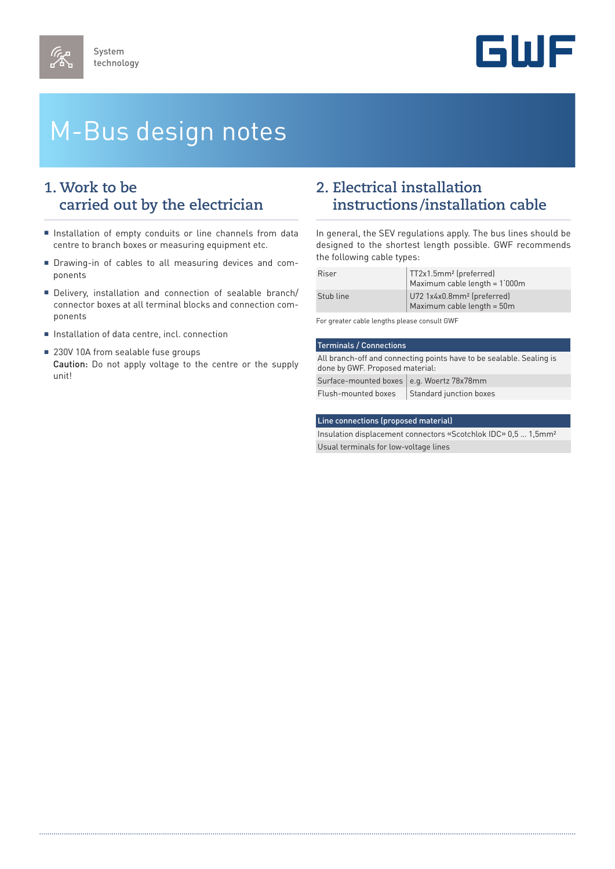

# M-Bus design notes

### **1. Work to be carried out by the electrician**

- Installation of empty conduits or line channels from data centre to branch boxes or measuring equipment etc.
- Drawing-in of cables to all measuring devices and components
- Delivery, installation and connection of sealable branch/ connector boxes at all terminal blocks and connection components
- Installation of data centre, incl. connection
- 230V 10A from sealable fuse groups Caution: Do not apply voltage to the centre or the supply unit!

#### **2. Electrical installation instructions/installation cable**

In general, the SEV regulations apply. The bus lines should be designed to the shortest length possible. GWF recommends the following cable types:

| Riser     | TT2x1.5mm <sup>2</sup> (preferred)<br>Maximum cable length = 1'000m  |
|-----------|----------------------------------------------------------------------|
| Stub line | U72 1x4x0.8mm <sup>2</sup> (preferred)<br>Maximum cable length = 50m |

For greater cable lengths please consult GWF

### Terminals / Connections

All branch-off and connecting points have to be sealable. Sealing is done by GWF. Proposed material: Surface-mounted boxes e.g. Woertz  $78x78$ mm  $Flush$ -mounted boxes  $\frac{1}{1}$  Standard junction boxes

#### Line connections (proposed material)

Insulation displacement connectors «Scotchlok IDC» 0,5 … 1,5mm² Usual terminals for low-voltage lines